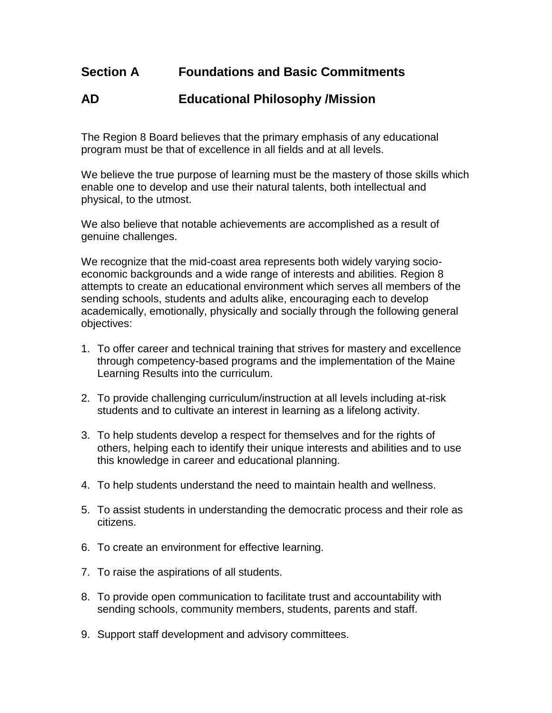## **Section A Foundations and Basic Commitments**

## **AD Educational Philosophy /Mission**

The Region 8 Board believes that the primary emphasis of any educational program must be that of excellence in all fields and at all levels.

We believe the true purpose of learning must be the mastery of those skills which enable one to develop and use their natural talents, both intellectual and physical, to the utmost.

We also believe that notable achievements are accomplished as a result of genuine challenges.

We recognize that the mid-coast area represents both widely varying socioeconomic backgrounds and a wide range of interests and abilities. Region 8 attempts to create an educational environment which serves all members of the sending schools, students and adults alike, encouraging each to develop academically, emotionally, physically and socially through the following general objectives:

- 1. To offer career and technical training that strives for mastery and excellence through competency-based programs and the implementation of the Maine Learning Results into the curriculum.
- 2. To provide challenging curriculum/instruction at all levels including at-risk students and to cultivate an interest in learning as a lifelong activity.
- 3. To help students develop a respect for themselves and for the rights of others, helping each to identify their unique interests and abilities and to use this knowledge in career and educational planning.
- 4. To help students understand the need to maintain health and wellness.
- 5. To assist students in understanding the democratic process and their role as citizens.
- 6. To create an environment for effective learning.
- 7. To raise the aspirations of all students.
- 8. To provide open communication to facilitate trust and accountability with sending schools, community members, students, parents and staff.
- 9. Support staff development and advisory committees.